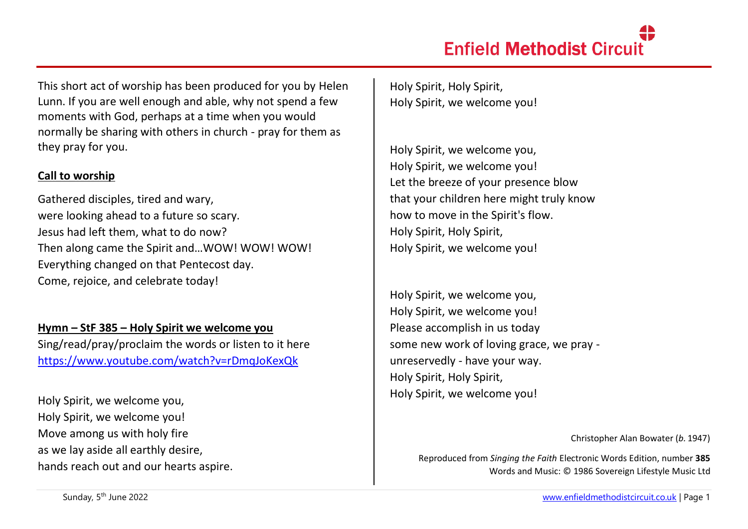This short act of worship has been produced for you by Helen Lunn. If you are well enough and able, why not spend a few moments with God, perhaps at a time when you would normally be sharing with others in church - pray for them as they pray for you.

### **Call to worship**

Gathered disciples, tired and wary, were looking ahead to a future so scary. Jesus had left them, what to do now? Then along came the Spirit and…WOW! WOW! WOW! Everything changed on that Pentecost day. Come, rejoice, and celebrate today!

**Hymn – StF 385 – Holy Spirit we welcome you**  Sing/read/pray/proclaim the words or listen to it here <https://www.youtube.com/watch?v=rDmqJoKexQk>

Holy Spirit, we welcome you, Holy Spirit, we welcome you! Move among us with holy fire as we lay aside all earthly desire, hands reach out and our hearts aspire. Holy Spirit, Holy Spirit, Holy Spirit, we welcome you!

Holy Spirit, we welcome you, Holy Spirit, we welcome you! Let the breeze of your presence blow that your children here might truly know how to move in the Spirit's flow. Holy Spirit, Holy Spirit, Holy Spirit, we welcome you!

Holy Spirit, we welcome you, Holy Spirit, we welcome you! Please accomplish in us today some new work of loving grace, we pray unreservedly - have your way. Holy Spirit, Holy Spirit, Holy Spirit, we welcome you!

Christopher Alan Bowater (*b.* 1947)

Reproduced from *Singing the Faith* Electronic Words Edition, number **385** Words and Music: © 1986 Sovereign Lifestyle Music Ltd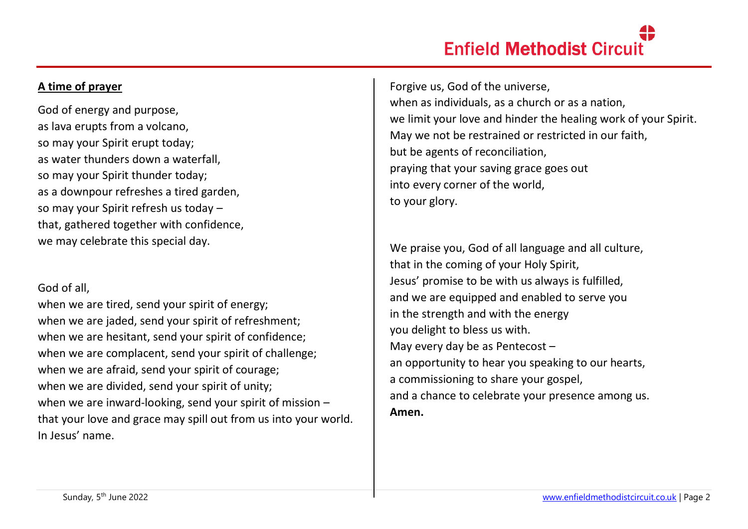# **Enfield Methodist Circuit**

## **A time of prayer**

God of energy and purpose, as lava erupts from a volcano, so may your Spirit erupt today; as water thunders down a waterfall, so may your Spirit thunder today; as a downpour refreshes a tired garden, so may your Spirit refresh us today – that, gathered together with confidence, we may celebrate this special day.

#### God of all,

when we are tired, send your spirit of energy; when we are jaded, send your spirit of refreshment; when we are hesitant, send your spirit of confidence; when we are complacent, send your spirit of challenge; when we are afraid, send your spirit of courage; when we are divided, send your spirit of unity; when we are inward-looking, send your spirit of mission – that your love and grace may spill out from us into your world. In Jesus' name.

Forgive us, God of the universe, when as individuals, as a church or as a nation, we limit your love and hinder the healing work of your Spirit. May we not be restrained or restricted in our faith, but be agents of reconciliation, praying that your saving grace goes out into every corner of the world, to your glory.

We praise you, God of all language and all culture, that in the coming of your Holy Spirit, Jesus' promise to be with us always is fulfilled, and we are equipped and enabled to serve you in the strength and with the energy you delight to bless us with. May every day be as Pentecost – an opportunity to hear you speaking to our hearts, a commissioning to share your gospel, and a chance to celebrate your presence among us. **Amen.**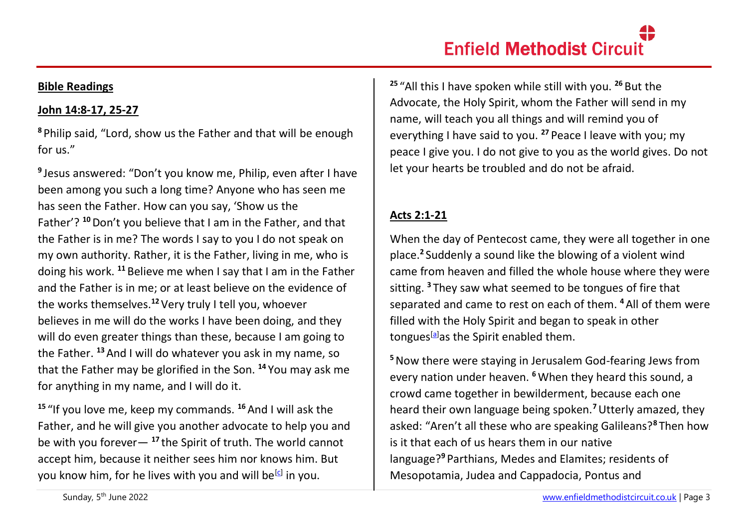#### **Bible Readings**

# **John 14:8-17, 25-27**

**<sup>8</sup>** Philip said, "Lord, show us the Father and that will be enough for us."

**9** Jesus answered: "Don't you know me, Philip, even after I have been among you such a long time? Anyone who has seen me has seen the Father. How can you say, 'Show us the Father'? **<sup>10</sup>**Don't you believe that I am in the Father, and that the Father is in me? The words I say to you I do not speak on my own authority. Rather, it is the Father, living in me, who is doing his work. **<sup>11</sup>** Believe me when I say that I am in the Father and the Father is in me; or at least believe on the evidence of the works themselves.**<sup>12</sup>**Very truly I tell you, whoever believes in me will do the works I have been doing, and they will do even greater things than these, because I am going to the Father. **<sup>13</sup>**And I will do whatever you ask in my name, so that the Father may be glorified in the Son. **<sup>14</sup>** You may ask me for anything in my name, and I will do it.

**<sup>15</sup>** "If you love me, keep my commands. **<sup>16</sup>**And I will ask the Father, and he will give you another advocate to help you and be with you forever— **<sup>17</sup>** the Spirit of truth. The world cannot accept him, because it neither sees him nor knows him. But you know him, for he lives with you and will be<sup>[\[c\]](https://www.biblegateway.com/passage/?search=John+14&version=NIV#fen-NIV-26686c)</sup> in you.

**<sup>25</sup>** "All this I have spoken while still with you. **<sup>26</sup>** But the Advocate, the Holy Spirit, whom the Father will send in my name, will teach you all things and will remind you of everything I have said to you. **<sup>27</sup>** Peace I leave with you; my peace I give you. I do not give to you as the world gives. Do not let your hearts be troubled and do not be afraid.

# **Acts 2:1-21**

When the day of Pentecost came, they were all together in one place.**<sup>2</sup>** Suddenly a sound like the blowing of a violent wind came from heaven and filled the whole house where they were sitting. **<sup>3</sup>** They saw what seemed to be tongues of fire that separated and came to rest on each of them. **<sup>4</sup>**All of them were filled with the Holy Spirit and began to speak in other tongues<sup>[\[a\]](https://www.biblegateway.com/passage/?search=acts+2%3A1-21&version=NIV#fen-NIV-26954a)</sup>as the Spirit enabled them.

**<sup>5</sup>**Now there were staying in Jerusalem God-fearing Jews from every nation under heaven. **<sup>6</sup>**When they heard this sound, a crowd came together in bewilderment, because each one heard their own language being spoken.**<sup>7</sup>**Utterly amazed, they asked: "Aren't all these who are speaking Galileans?**<sup>8</sup>** Then how is it that each of us hears them in our native language?**<sup>9</sup>** Parthians, Medes and Elamites; residents of Mesopotamia, Judea and Cappadocia, Pontus and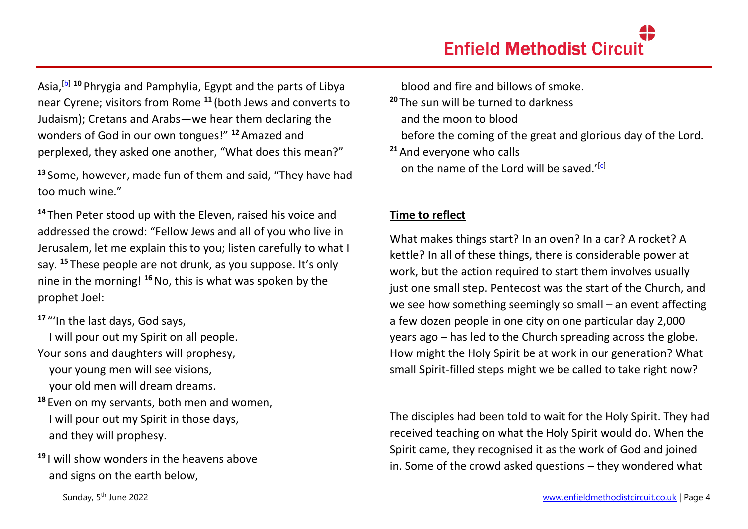Asia,[\[b\]](https://www.biblegateway.com/passage/?search=acts+2%3A1-21&version=NIV#fen-NIV-26959b) **<sup>10</sup>** Phrygia and Pamphylia, Egypt and the parts of Libya near Cyrene; visitors from Rome **<sup>11</sup>** (both Jews and converts to Judaism); Cretans and Arabs—we hear them declaring the wonders of God in our own tongues!" **<sup>12</sup>**Amazed and perplexed, they asked one another, "What does this mean?"

**<sup>13</sup>** Some, however, made fun of them and said, "They have had too much wine."

**<sup>14</sup>** Then Peter stood up with the Eleven, raised his voice and addressed the crowd: "Fellow Jews and all of you who live in Jerusalem, let me explain this to you; listen carefully to what I say. **<sup>15</sup>** These people are not drunk, as you suppose. It's only nine in the morning! **<sup>16</sup>**No, this is what was spoken by the prophet Joel:

**<sup>17</sup>** "'In the last days, God says,

 I will pour out my Spirit on all people. Your sons and daughters will prophesy, your young men will see visions, your old men will dream dreams.

- **<sup>18</sup>** Even on my servants, both men and women, I will pour out my Spirit in those days, and they will prophesy.
- **<sup>19</sup>** I will show wonders in the heavens above and signs on the earth below,

 blood and fire and billows of smoke. **<sup>20</sup>** The sun will be turned to darkness and the moon to blood before the coming of the great and glorious day of the Lord. **<sup>21</sup>**And everyone who calls on the name of the Lord will be saved.' $[<sup>c</sup>]$ 

# **Time to reflect**

What makes things start? In an oven? In a car? A rocket? A kettle? In all of these things, there is considerable power at work, but the action required to start them involves usually just one small step. Pentecost was the start of the Church, and we see how something seemingly so small – an event affecting a few dozen people in one city on one particular day 2,000 years ago – has led to the Church spreading across the globe. How might the Holy Spirit be at work in our generation? What small Spirit-filled steps might we be called to take right now?

The disciples had been told to wait for the Holy Spirit. They had received teaching on what the Holy Spirit would do. When the Spirit came, they recognised it as the work of God and joined in. Some of the crowd asked questions – they wondered what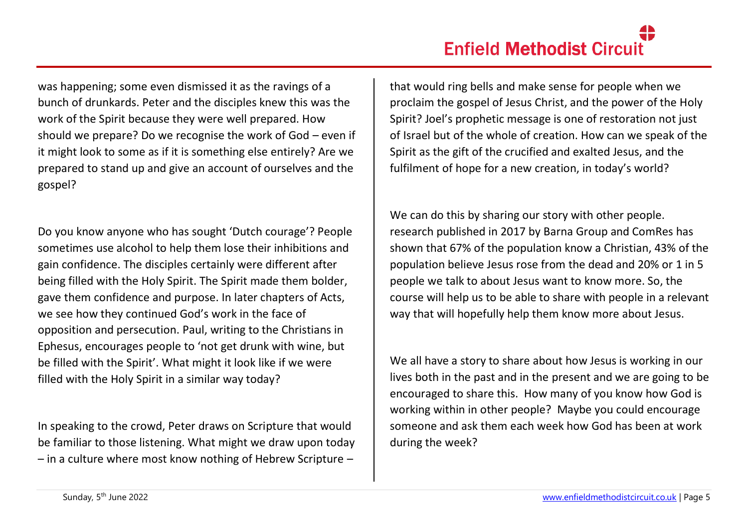was happening; some even dismissed it as the ravings of a bunch of drunkards. Peter and the disciples knew this was the work of the Spirit because they were well prepared. How should we prepare? Do we recognise the work of God – even if it might look to some as if it is something else entirely? Are we prepared to stand up and give an account of ourselves and the gospel?

Do you know anyone who has sought 'Dutch courage'? People sometimes use alcohol to help them lose their inhibitions and gain confidence. The disciples certainly were different after being filled with the Holy Spirit. The Spirit made them bolder, gave them confidence and purpose. In later chapters of Acts, we see how they continued God's work in the face of opposition and persecution. Paul, writing to the Christians in Ephesus, encourages people to 'not get drunk with wine, but be filled with the Spirit'. What might it look like if we were filled with the Holy Spirit in a similar way today?

In speaking to the crowd, Peter draws on Scripture that would be familiar to those listening. What might we draw upon today – in a culture where most know nothing of Hebrew Scripture –

that would ring bells and make sense for people when we proclaim the gospel of Jesus Christ, and the power of the Holy Spirit? Joel's prophetic message is one of restoration not just of Israel but of the whole of creation. How can we speak of the Spirit as the gift of the crucified and exalted Jesus, and the fulfilment of hope for a new creation, in today's world?

We can do this by sharing our story with other people. research published in 2017 by Barna Group and ComRes has shown that 67% of the population know a Christian, 43% of the population believe Jesus rose from the dead and 20% or 1 in 5 people we talk to about Jesus want to know more. So, the course will help us to be able to share with people in a relevant way that will hopefully help them know more about Jesus.

We all have a story to share about how Jesus is working in our lives both in the past and in the present and we are going to be encouraged to share this. How many of you know how God is working within in other people? Maybe you could encourage someone and ask them each week how God has been at work during the week?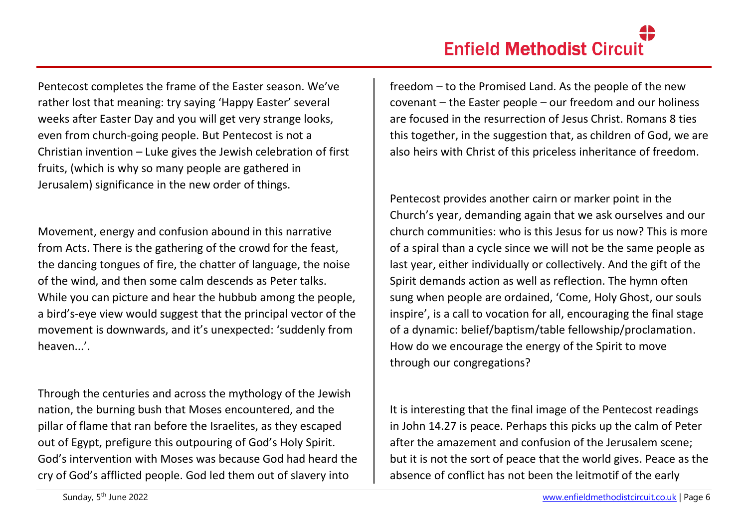Pentecost completes the frame of the Easter season. We've rather lost that meaning: try saying 'Happy Easter' several weeks after Easter Day and you will get very strange looks, even from church-going people. But Pentecost is not a Christian invention – Luke gives the Jewish celebration of first fruits, (which is why so many people are gathered in Jerusalem) significance in the new order of things.

Movement, energy and confusion abound in this narrative from Acts. There is the gathering of the crowd for the feast, the dancing tongues of fire, the chatter of language, the noise of the wind, and then some calm descends as Peter talks. While you can picture and hear the hubbub among the people, a bird's-eye view would suggest that the principal vector of the movement is downwards, and it's unexpected: 'suddenly from heaven...'.

Through the centuries and across the mythology of the Jewish nation, the burning bush that Moses encountered, and the pillar of flame that ran before the Israelites, as they escaped out of Egypt, prefigure this outpouring of God's Holy Spirit. God's intervention with Moses was because God had heard the cry of God's afflicted people. God led them out of slavery into

freedom – to the Promised Land. As the people of the new covenant – the Easter people – our freedom and our holiness are focused in the resurrection of Jesus Christ. Romans 8 ties this together, in the suggestion that, as children of God, we are also heirs with Christ of this priceless inheritance of freedom.

Pentecost provides another cairn or marker point in the Church's year, demanding again that we ask ourselves and our church communities: who is this Jesus for us now? This is more of a spiral than a cycle since we will not be the same people as last year, either individually or collectively. And the gift of the Spirit demands action as well as reflection. The hymn often sung when people are ordained, 'Come, Holy Ghost, our souls inspire', is a call to vocation for all, encouraging the final stage of a dynamic: belief/baptism/table fellowship/proclamation. How do we encourage the energy of the Spirit to move through our congregations?

It is interesting that the final image of the Pentecost readings in John 14.27 is peace. Perhaps this picks up the calm of Peter after the amazement and confusion of the Jerusalem scene; but it is not the sort of peace that the world gives. Peace as the absence of conflict has not been the leitmotif of the early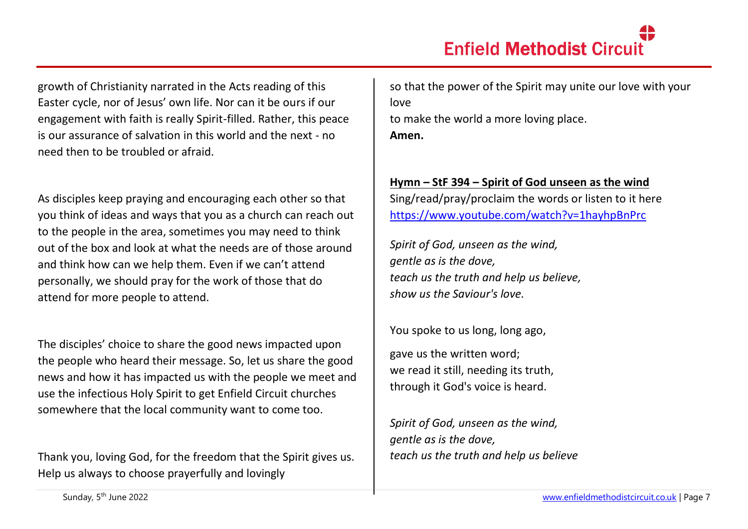growth of Christianity narrated in the Acts reading of this Easter cycle, nor of Jesus' own life. Nor can it be ours if our engagement with faith is really Spirit-filled. Rather, this peace is our assurance of salvation in this world and the next - no need then to be troubled or afraid.

As disciples keep praying and encouraging each other so that you think of ideas and ways that you as a church can reach out to the people in the area, sometimes you may need to think out of the box and look at what the needs are of those around and think how can we help them. Even if we can't attend personally, we should pray for the work of those that do attend for more people to attend.

The disciples' choice to share the good news impacted upon the people who heard their message. So, let us share the good news and how it has impacted us with the people we meet and use the infectious Holy Spirit to get Enfield Circuit churches somewhere that the local community want to come too.

Thank you, loving God, for the freedom that the Spirit gives us. Help us always to choose prayerfully and lovingly

so that the power of the Spirit may unite our love with your love to make the world a more loving place. **Amen.**

# **Hymn – StF 394 – Spirit of God unseen as the wind**

Sing/read/pray/proclaim the words or listen to it here <https://www.youtube.com/watch?v=1hayhpBnPrc>

*Spirit of God, unseen as the wind, gentle as is the dove, teach us the truth and help us believe, show us the Saviour's love.*

You spoke to us long, long ago,

gave us the written word; we read it still, needing its truth, through it God's voice is heard.

*Spirit of God, unseen as the wind, gentle as is the dove, teach us the truth and help us believe*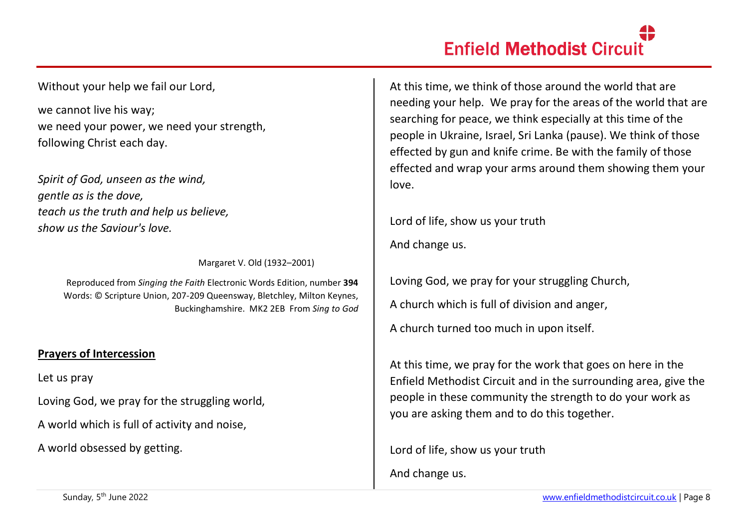Without your help we fail our Lord,

we cannot live his way; we need your power, we need your strength, following Christ each day.

*Spirit of God, unseen as the wind, gentle as is the dove, teach us the truth and help us believe, show us the Saviour's love.*

Margaret V. Old (1932–2001)

Reproduced from *Singing the Faith* Electronic Words Edition, number **394** Words: © Scripture Union, 207-209 Queensway, Bletchley, Milton Keynes, Buckinghamshire. MK2 2EB From *Sing to God*

### **Prayers of Intercession**

Let us pray

Loving God, we pray for the struggling world,

A world which is full of activity and noise,

A world obsessed by getting.

At this time, we think of those around the world that are needing your help. We pray for the areas of the world that are searching for peace, we think especially at this time of the people in Ukraine, Israel, Sri Lanka (pause). We think of those effected by gun and knife crime. Be with the family of those effected and wrap your arms around them showing them your love.

Lord of life, show us your truth And change us.

Loving God, we pray for your struggling Church, A church which is full of division and anger, A church turned too much in upon itself.

At this time, we pray for the work that goes on here in the Enfield Methodist Circuit and in the surrounding area, give the people in these community the strength to do your work as you are asking them and to do this together.

Lord of life, show us your truth

And change us.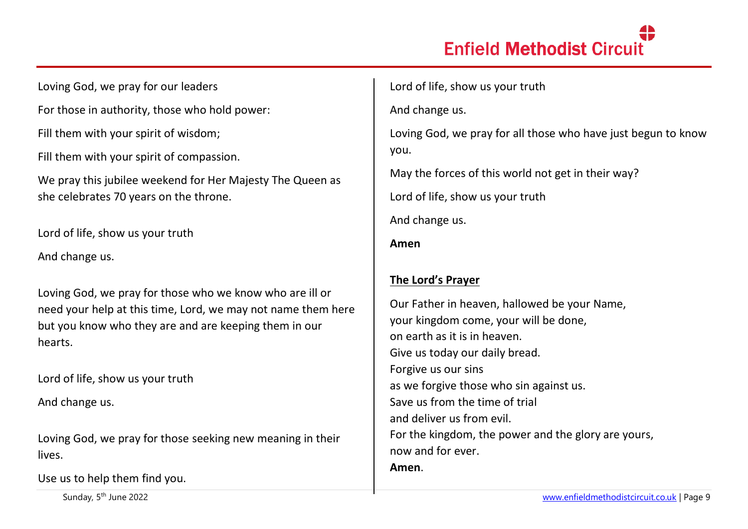# **Enfield Methodist Circuit**

Loving God, we pray for our leaders

For those in authority, those who hold power:

Fill them with your spirit of wisdom;

Fill them with your spirit of compassion.

We pray this jubilee weekend for Her Majesty The Queen as she celebrates 70 years on the throne.

Lord of life, show us your truth

And change us.

Loving God, we pray for those who we know who are ill or need your help at this time, Lord, we may not name them here but you know who they are and are keeping them in our hearts.

Lord of life, show us your truth

And change us.

Loving God, we pray for those seeking new meaning in their lives.

Use us to help them find you.

Lord of life, show us your truth

And change us.

Loving God, we pray for all those who have just begun to know you.

May the forces of this world not get in their way?

Lord of life, show us your truth

And change us.

**Amen**

### **The Lord's Prayer**

Our Father in heaven, hallowed be your Name, your kingdom come, your will be done, on earth as it is in heaven. Give us today our daily bread. Forgive us our sins as we forgive those who sin against us. Save us from the time of trial and deliver us from evil. For the kingdom, the power and the glory are yours, now and for ever. **Amen**.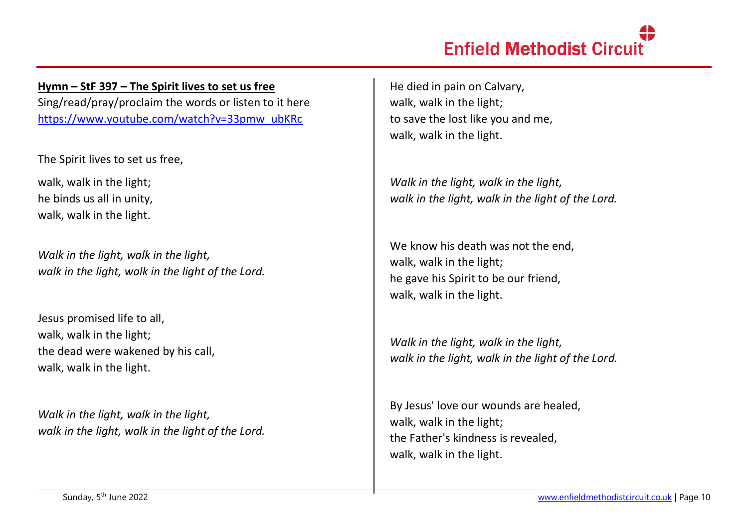**Hymn – StF 397 – The Spirit lives to set us free** Sing/read/pray/proclaim the words or listen to it here [https://www.youtube.com/watch?v=33pmw\\_ubKRc](https://www.youtube.com/watch?v=33pmw_ubKRc)

The Spirit lives to set us free,

walk, walk in the light; he binds us all in unity, walk, walk in the light.

*Walk in the light, walk in the light, walk in the light, walk in the light of the Lord.*

Jesus promised life to all, walk, walk in the light; the dead were wakened by his call, walk, walk in the light.

*Walk in the light, walk in the light, walk in the light, walk in the light of the Lord.*

He died in pain on Calvary, walk, walk in the light; to save the lost like you and me, walk, walk in the light.

*Walk in the light, walk in the light, walk in the light, walk in the light of the Lord.*

We know his death was not the end. walk, walk in the light; he gave his Spirit to be our friend, walk, walk in the light.

*Walk in the light, walk in the light, walk in the light, walk in the light of the Lord.*

By Jesus' love our wounds are healed, walk, walk in the light; the Father's kindness is revealed, walk, walk in the light.